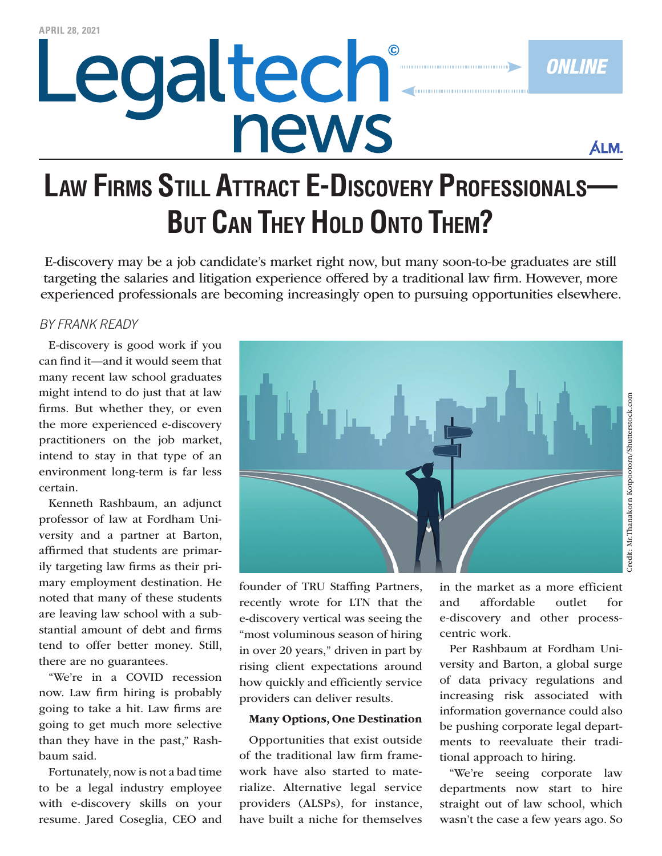# Legaltech® news

**ÁLM.** 

*Online*

### **Law Firms Still Attract E-Discovery Professionals— But Can They Hold Onto Them?**

E-discovery may be a job candidate's market right now, but many soon-to-be graduates are still targeting the salaries and litigation experience offered by a traditional law firm. However, more experienced professionals are becoming increasingly open to pursuing opportunities elsewhere.

#### *By Frank Ready*

E-discovery is good work if you can find it—and it would seem that many recent law school graduates might intend to do just that at law firms. But whether they, or even the more experienced e-discovery practitioners on the job market, intend to stay in that type of an environment long-term is far less certain.

Kenneth Rashbaum, an adjunct professor of law at Fordham University and a partner at Barton, affirmed that students are primarily targeting law firms as their primary employment destination. He noted that many of these students are leaving law school with a substantial amount of debt and firms tend to offer better money. Still, there are no guarantees.

"We're in a COVID recession now. Law firm hiring is probably going to take a hit. Law firms are going to get much more selective than they have in the past," Rashbaum said.

Fortunately, now is not a bad time to be a legal industry employee with e-discovery skills on your resume. Jared Coseglia, CEO and



founder of TRU Staffing Partners, recently [wrote for LTN](https://www.law.com/legaltechnews/2021/04/07/why-now-is-the-best-time-in-20-years-to-make-a-job-move-in-e-discovery/) that the e-discovery vertical was seeing the "most voluminous season of hiring in over 20 years," driven in part by rising client expectations around how quickly and efficiently service providers can deliver results.

#### Many Options, One Destination

Opportunities that exist outside of the traditional law firm framework have also started to materialize. Alternative legal service providers (ALSPs), for instance, have [built](https://www.law.com/legaltechnews/2021/01/04/the-e-discovery-identity-crisis-397-40806/) a niche for themselves

in the market as a more efficient and affordable outlet for e-discovery and other processcentric work.

Per Rashbaum at Fordham University and Barton, a global surge of data privacy regulations and increasing risk associated with information governance could also be pushing corporate legal departments to reevaluate their traditional approach to hiring.

"We're seeing corporate law departments now start to hire straight out of law school, which wasn't the case a few years ago. So